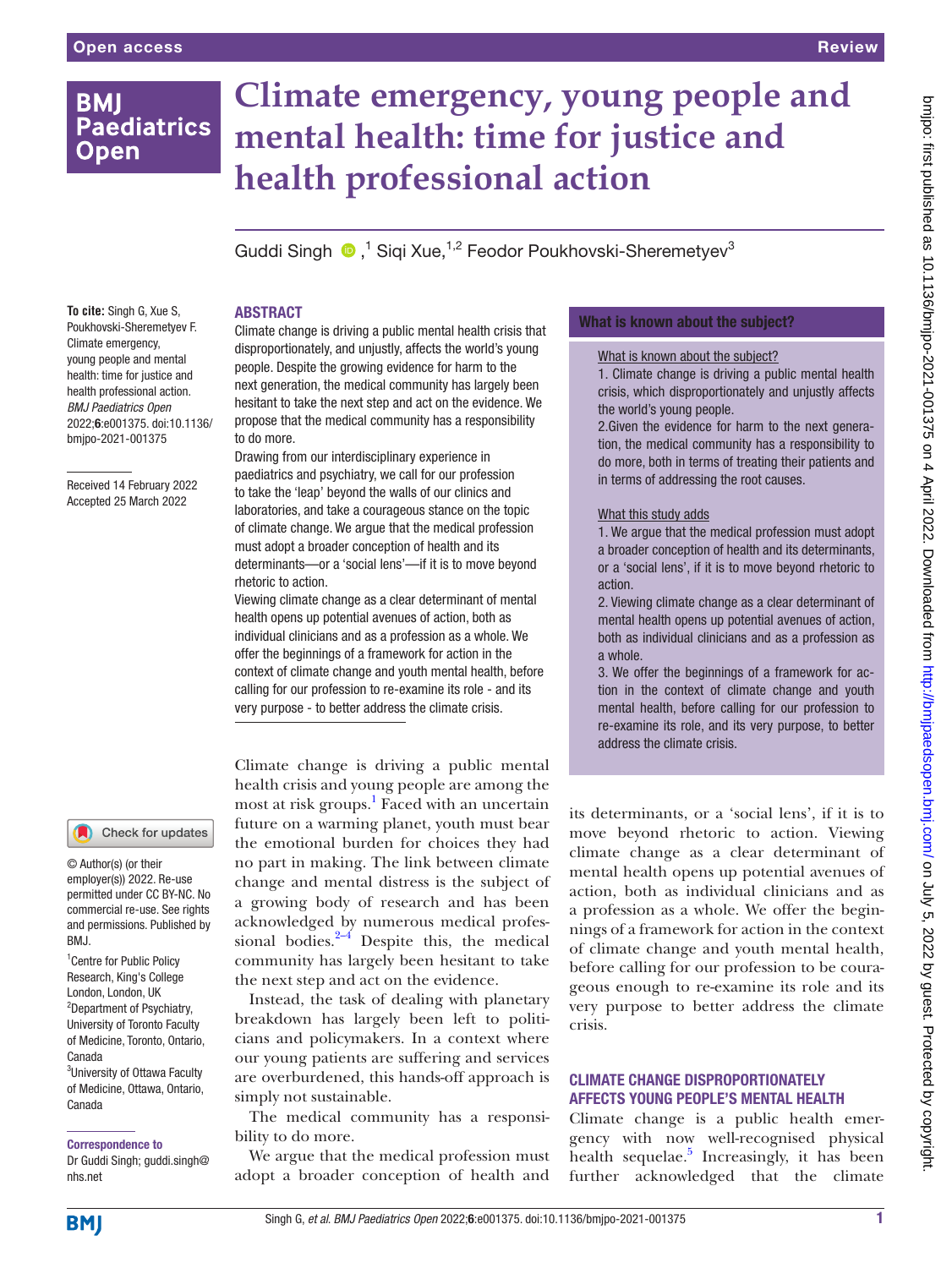### **BMI Paediatrics Open**

# **Climate emergency, young people and mental health: time for justice and health professional action**

GuddiSingh <sup>®</sup>,<sup>1</sup> Siqi Xue,<sup>1,2</sup> Feodor Poukhovski-Sheremetyev<sup>3</sup>

#### ABSTRACT

**To cite:** Singh G, Xue S, Poukhovski-Sheremetyev F. Climate emergency, young people and mental health: time for justice and health professional action. *BMJ Paediatrics Open* 2022;6:e001375. doi:10.1136/ bmjpo-2021-001375

Received 14 February 2022 Accepted 25 March 2022

#### Check for updates

© Author(s) (or their employer(s)) 2022. Re-use permitted under CC BY-NC. No commercial re-use. See rights and permissions. Published by RM<sub>J</sub>

<sup>1</sup> Centre for Public Policy Research, King's College London, London, UK <sup>2</sup>Department of Psychiatry, University of Toronto Faculty of Medicine, Toronto, Ontario, Canada <sup>3</sup>University of Ottawa Faculty of Medicine, Ottawa, Ontario, Canada

Correspondence to

Dr Guddi Singh; guddi.singh@ nhs.net

Climate change is driving a public mental health crisis that disproportionately, and unjustly, affects the world's young people. Despite the growing evidence for harm to the next generation, the medical community has largely been hesitant to take the next step and act on the evidence. We propose that the medical community has a responsibility to do more.

Drawing from our interdisciplinary experience in paediatrics and psychiatry, we call for our profession to take the 'leap' beyond the walls of our clinics and laboratories, and take a courageous stance on the topic of climate change. We argue that the medical profession must adopt a broader conception of health and its determinants—or a 'social lens'—if it is to move beyond rhetoric to action.

Viewing climate change as a clear determinant of mental health opens up potential avenues of action, both as individual clinicians and as a profession as a whole. We offer the beginnings of a framework for action in the context of climate change and youth mental health, before calling for our profession to re-examine its role - and its very purpose - to better address the climate crisis.

Climate change is driving a public mental health crisis and young people are among the most at risk groups.<sup>1</sup> Faced with an uncertain future on a warming planet, youth must bear the emotional burden for choices they had no part in making. The link between climate change and mental distress is the subject of a growing body of research and has been acknowledged by numerous medical professional bodies. $2-4$  Despite this, the medical community has largely been hesitant to take the next step and act on the evidence.

Instead, the task of dealing with planetary breakdown has largely been left to politicians and policymakers. In a context where our young patients are suffering and services are overburdened, this hands-off approach is simply not sustainable.

The medical community has a responsibility to do more.

We argue that the medical profession must adopt a broader conception of health and

#### What is known about the subject?

#### What is known about the subject?

1. Climate change is driving a public mental health crisis, which disproportionately and unjustly affects the world's young people.

2. Given the evidence for harm to the next generation, the medical community has a responsibility to do more, both in terms of treating their patients and in terms of addressing the root causes.

#### What this study adds

1. We argue that the medical profession must adopt a broader conception of health and its determinants, or a 'social lens', if it is to move beyond rhetoric to action.

2. Viewing climate change as a clear determinant of mental health opens up potential avenues of action, both as individual clinicians and as a profession as a whole.

3. We offer the beginnings of a framework for action in the context of climate change and youth mental health, before calling for our profession to re-examine its role, and its very purpose, to better address the climate crisis.

its determinants, or a 'social lens', if it is to move beyond rhetoric to action. Viewing climate change as a clear determinant of mental health opens up potential avenues of action, both as individual clinicians and as a profession as a whole. We offer the beginnings of a framework for action in the context of climate change and youth mental health, before calling for our profession to be courageous enough to re-examine its role and its very purpose to better address the climate crisis.

#### CLIMATE CHANGE DISPROPORTIONATELY AFFECTS YOUNG PEOPLE'S MENTAL HEALTH

Climate change is a public health emergency with now well-recognised physical health sequelae.<sup>5</sup> Increasingly, it has been further acknowledged that the climate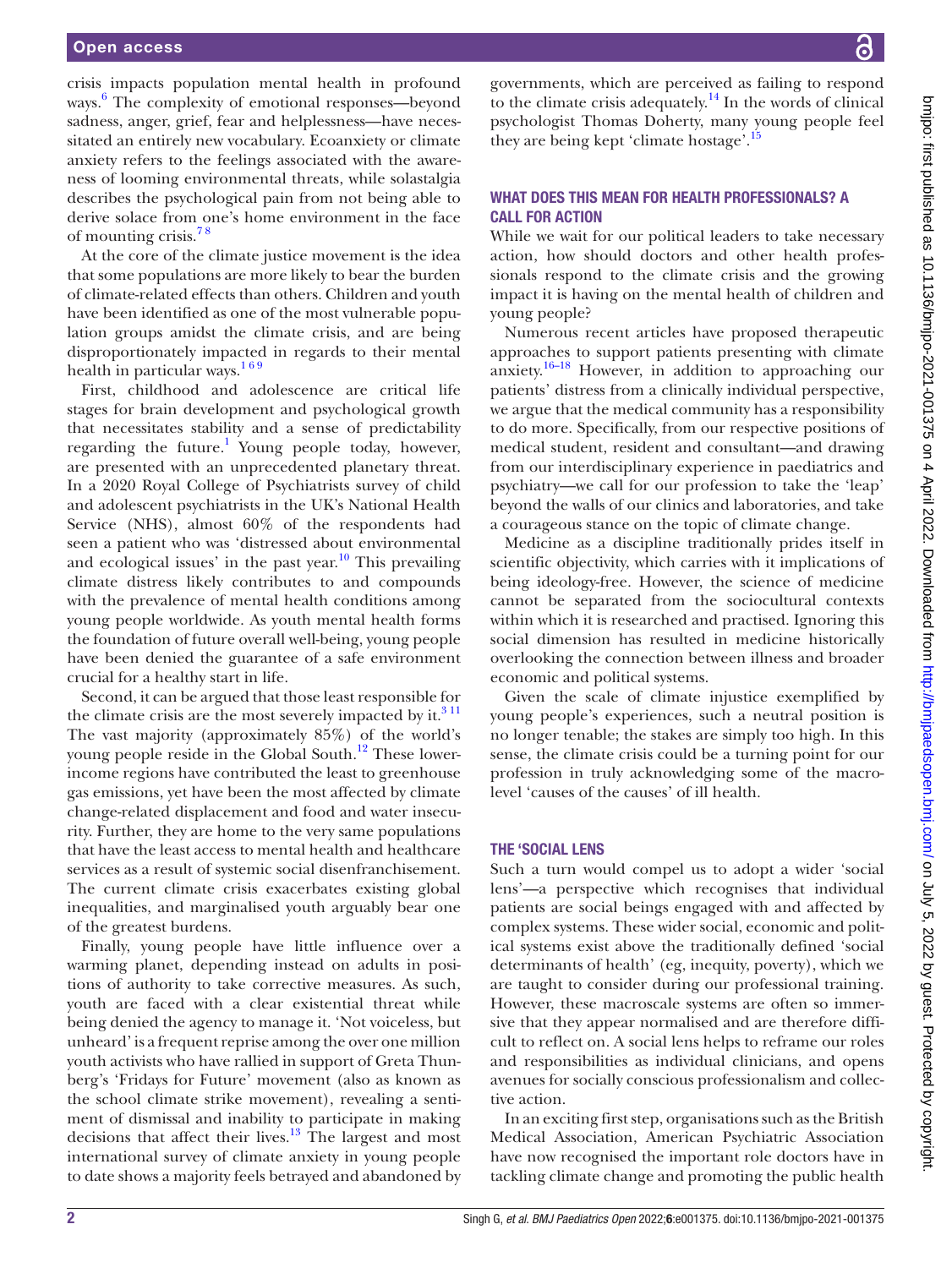crisis impacts population mental health in profound ways. [6](#page-3-2) The complexity of emotional responses—beyond sadness, anger, grief, fear and helplessness—have necessitated an entirely new vocabulary. Ecoanxiety or climate anxiety refers to the feelings associated with the awareness of looming environmental threats, while solastalgia describes the psychological pain from not being able to derive solace from one's home environment in the face of mounting crisis.[7 8](#page-3-3)

At the core of the climate justice movement is the idea that some populations are more likely to bear the burden of climate-related effects than others. Children and youth have been identified as one of the most vulnerable population groups amidst the climate crisis, and are being disproportionately impacted in regards to their mental health in particular ways. $169$ 

First, childhood and adolescence are critical life stages for brain development and psychological growth that necessitates stability and a sense of predictability regarding the future.<sup>1</sup> Young people today, however, are presented with an unprecedented planetary threat. In a 2020 Royal College of Psychiatrists survey of child and adolescent psychiatrists in the UK's National Health Service (NHS), almost 60% of the respondents had seen a patient who was 'distressed about environmental and ecological issues' in the past year. $10^{\circ}$  This prevailing climate distress likely contributes to and compounds with the prevalence of mental health conditions among young people worldwide. As youth mental health forms the foundation of future overall well-being, young people have been denied the guarantee of a safe environment crucial for a healthy start in life.

Second, it can be argued that those least responsible for the climate crisis are the most severely impacted by it. $311$ The vast majority (approximately 85%) of the world's young people reside in the Global South.<sup>12</sup> These lowerincome regions have contributed the least to greenhouse gas emissions, yet have been the most affected by climate change-related displacement and food and water insecurity. Further, they are home to the very same populations that have the least access to mental health and healthcare services as a result of systemic social disenfranchisement. The current climate crisis exacerbates existing global inequalities, and marginalised youth arguably bear one of the greatest burdens.

Finally, young people have little influence over a warming planet, depending instead on adults in positions of authority to take corrective measures. As such, youth are faced with a clear existential threat while being denied the agency to manage it. 'Not voiceless, but unheard' is a frequent reprise among the over one million youth activists who have rallied in support of Greta Thunberg's 'Fridays for Future' movement (also as known as the school climate strike movement), revealing a sentiment of dismissal and inability to participate in making decisions that affect their lives. $13$  The largest and most international survey of climate anxiety in young people to date shows a majority feels betrayed and abandoned by

governments, which are perceived as failing to respond to the climate crisis adequately.<sup>14</sup> In the words of clinical psychologist Thomas Doherty, many young people feel they are being kept 'climate hostage'.<sup>[15](#page-3-10)</sup>

#### WHAT DOES THIS MEAN FOR HEALTH PROFESSIONALS? A CALL FOR ACTION

While we wait for our political leaders to take necessary action, how should doctors and other health professionals respond to the climate crisis and the growing impact it is having on the mental health of children and young people?

Numerous recent articles have proposed therapeutic approaches to support patients presenting with climate anxiety.<sup>[16–18](#page-3-11)</sup> However, in addition to approaching our patients' distress from a clinically individual perspective, we argue that the medical community has a responsibility to do more. Specifically, from our respective positions of medical student, resident and consultant—and drawing from our interdisciplinary experience in paediatrics and psychiatry—we call for our profession to take the 'leap' beyond the walls of our clinics and laboratories, and take a courageous stance on the topic of climate change.

Medicine as a discipline traditionally prides itself in scientific objectivity, which carries with it implications of being ideology-free. However, the science of medicine cannot be separated from the sociocultural contexts within which it is researched and practised. Ignoring this social dimension has resulted in medicine historically overlooking the connection between illness and broader economic and political systems.

Given the scale of climate injustice exemplified by young people's experiences, such a neutral position is no longer tenable; the stakes are simply too high. In this sense, the climate crisis could be a turning point for our profession in truly acknowledging some of the macrolevel 'causes of the causes' of ill health.

#### THE 'SOCIAL LENS

Such a turn would compel us to adopt a wider 'social lens'—a perspective which recognises that individual patients are social beings engaged with and affected by complex systems. These wider social, economic and political systems exist above the traditionally defined 'social determinants of health' (eg, inequity, poverty), which we are taught to consider during our professional training. However, these macroscale systems are often so immersive that they appear normalised and are therefore difficult to reflect on. A social lens helps to reframe our roles and responsibilities as individual clinicians, and opens avenues for socially conscious professionalism and collective action.

In an exciting first step, organisations such as the British Medical Association, American Psychiatric Association have now recognised the important role doctors have in tackling climate change and promoting the public health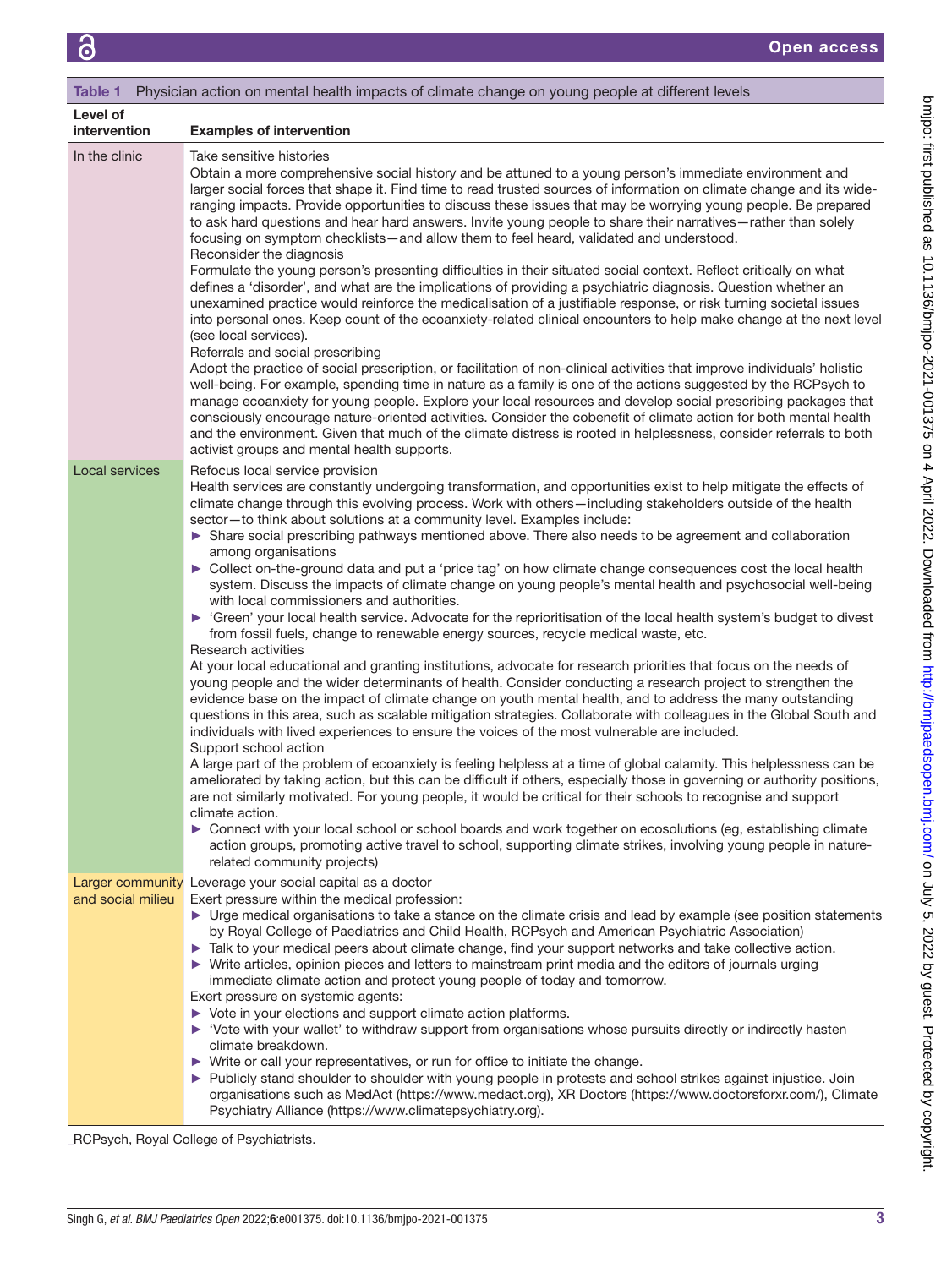<span id="page-2-0"></span>

| Physician action on mental health impacts of climate change on young people at different levels<br>Table 1 |                                                                                                                                                                                                                                                                                                                                                                                                                                                                                                                                                                                                                                                                                                                                                                                                                                                                                                                                                                                                                                                                                                                                                                                                                                                                                                                                                                                                                                                                                                                                                                                                                                                                                                                                                                                                                                                                                                                                                                                                                                                                                                                                                                                                                                                          |
|------------------------------------------------------------------------------------------------------------|----------------------------------------------------------------------------------------------------------------------------------------------------------------------------------------------------------------------------------------------------------------------------------------------------------------------------------------------------------------------------------------------------------------------------------------------------------------------------------------------------------------------------------------------------------------------------------------------------------------------------------------------------------------------------------------------------------------------------------------------------------------------------------------------------------------------------------------------------------------------------------------------------------------------------------------------------------------------------------------------------------------------------------------------------------------------------------------------------------------------------------------------------------------------------------------------------------------------------------------------------------------------------------------------------------------------------------------------------------------------------------------------------------------------------------------------------------------------------------------------------------------------------------------------------------------------------------------------------------------------------------------------------------------------------------------------------------------------------------------------------------------------------------------------------------------------------------------------------------------------------------------------------------------------------------------------------------------------------------------------------------------------------------------------------------------------------------------------------------------------------------------------------------------------------------------------------------------------------------------------------------|
| Level of<br>intervention                                                                                   | <b>Examples of intervention</b>                                                                                                                                                                                                                                                                                                                                                                                                                                                                                                                                                                                                                                                                                                                                                                                                                                                                                                                                                                                                                                                                                                                                                                                                                                                                                                                                                                                                                                                                                                                                                                                                                                                                                                                                                                                                                                                                                                                                                                                                                                                                                                                                                                                                                          |
| In the clinic                                                                                              | Take sensitive histories<br>Obtain a more comprehensive social history and be attuned to a young person's immediate environment and<br>larger social forces that shape it. Find time to read trusted sources of information on climate change and its wide-<br>ranging impacts. Provide opportunities to discuss these issues that may be worrying young people. Be prepared<br>to ask hard questions and hear hard answers. Invite young people to share their narratives-rather than solely<br>focusing on symptom checklists—and allow them to feel heard, validated and understood.<br>Reconsider the diagnosis<br>Formulate the young person's presenting difficulties in their situated social context. Reflect critically on what<br>defines a 'disorder', and what are the implications of providing a psychiatric diagnosis. Question whether an<br>unexamined practice would reinforce the medicalisation of a justifiable response, or risk turning societal issues<br>into personal ones. Keep count of the ecoanxiety-related clinical encounters to help make change at the next level<br>(see local services).<br>Referrals and social prescribing<br>Adopt the practice of social prescription, or facilitation of non-clinical activities that improve individuals' holistic<br>well-being. For example, spending time in nature as a family is one of the actions suggested by the RCPsych to<br>manage ecoanxiety for young people. Explore your local resources and develop social prescribing packages that<br>consciously encourage nature-oriented activities. Consider the cobenefit of climate action for both mental health<br>and the environment. Given that much of the climate distress is rooted in helplessness, consider referrals to both<br>activist groups and mental health supports.                                                                                                                                                                                                                                                                                                                                                                                                                               |
| Local services                                                                                             | Refocus local service provision<br>Health services are constantly undergoing transformation, and opportunities exist to help mitigate the effects of<br>climate change through this evolving process. Work with others-including stakeholders outside of the health<br>sector-to think about solutions at a community level. Examples include:<br>Share social prescribing pathways mentioned above. There also needs to be agreement and collaboration<br>among organisations<br>► Collect on-the-ground data and put a 'price tag' on how climate change consequences cost the local health<br>system. Discuss the impacts of climate change on young people's mental health and psychosocial well-being<br>with local commissioners and authorities.<br>• 'Green' your local health service. Advocate for the reprioritisation of the local health system's budget to divest<br>from fossil fuels, change to renewable energy sources, recycle medical waste, etc.<br>Research activities<br>At your local educational and granting institutions, advocate for research priorities that focus on the needs of<br>young people and the wider determinants of health. Consider conducting a research project to strengthen the<br>evidence base on the impact of climate change on youth mental health, and to address the many outstanding<br>questions in this area, such as scalable mitigation strategies. Collaborate with colleagues in the Global South and<br>individuals with lived experiences to ensure the voices of the most vulnerable are included.<br>Support school action<br>A large part of the problem of ecoanxiety is feeling helpless at a time of global calamity. This helplessness can be<br>ameliorated by taking action, but this can be difficult if others, especially those in governing or authority positions,<br>are not similarly motivated. For young people, it would be critical for their schools to recognise and support<br>climate action.<br>► Connect with your local school or school boards and work together on ecosolutions (eg, establishing climate<br>action groups, promoting active travel to school, supporting climate strikes, involving young people in nature-<br>related community projects) |
| and social milieu                                                                                          | Larger community Leverage your social capital as a doctor<br>Exert pressure within the medical profession:<br>• Urge medical organisations to take a stance on the climate crisis and lead by example (see position statements<br>by Royal College of Paediatrics and Child Health, RCPsych and American Psychiatric Association)<br>Talk to your medical peers about climate change, find your support networks and take collective action.<br>▶ Write articles, opinion pieces and letters to mainstream print media and the editors of journals urging<br>immediate climate action and protect young people of today and tomorrow.<br>Exert pressure on systemic agents:<br>▶ Vote in your elections and support climate action platforms.<br>▶ 'Vote with your wallet' to withdraw support from organisations whose pursuits directly or indirectly hasten<br>climate breakdown.<br>▶ Write or call your representatives, or run for office to initiate the change.<br>▶ Publicly stand shoulder to shoulder with young people in protests and school strikes against injustice. Join<br>organisations such as MedAct (https://www.medact.org), XR Doctors (https://www.doctorsforxr.com/), Climate<br>Psychiatry Alliance (https://www.climatepsychiatry.org).                                                                                                                                                                                                                                                                                                                                                                                                                                                                                                                                                                                                                                                                                                                                                                                                                                                                                                                                                                                      |

RCPsych, Royal College of Psychiatrists.

bmjpo: tirst published as 10.1136/bmjpo-2021-001375 on 4 April 2022. Downloaded from <http://bmjpaedsopen.bmj.com/> on July 5, 2022 by guest. Protected by copyright.

bmipo: first published as 10.1136/bmipo-2021-001375 on 4 April 2022. Downloaded from http://bmipaedsopen.bmj.com/ on July 5, 2022 by guest. Protected by copyright.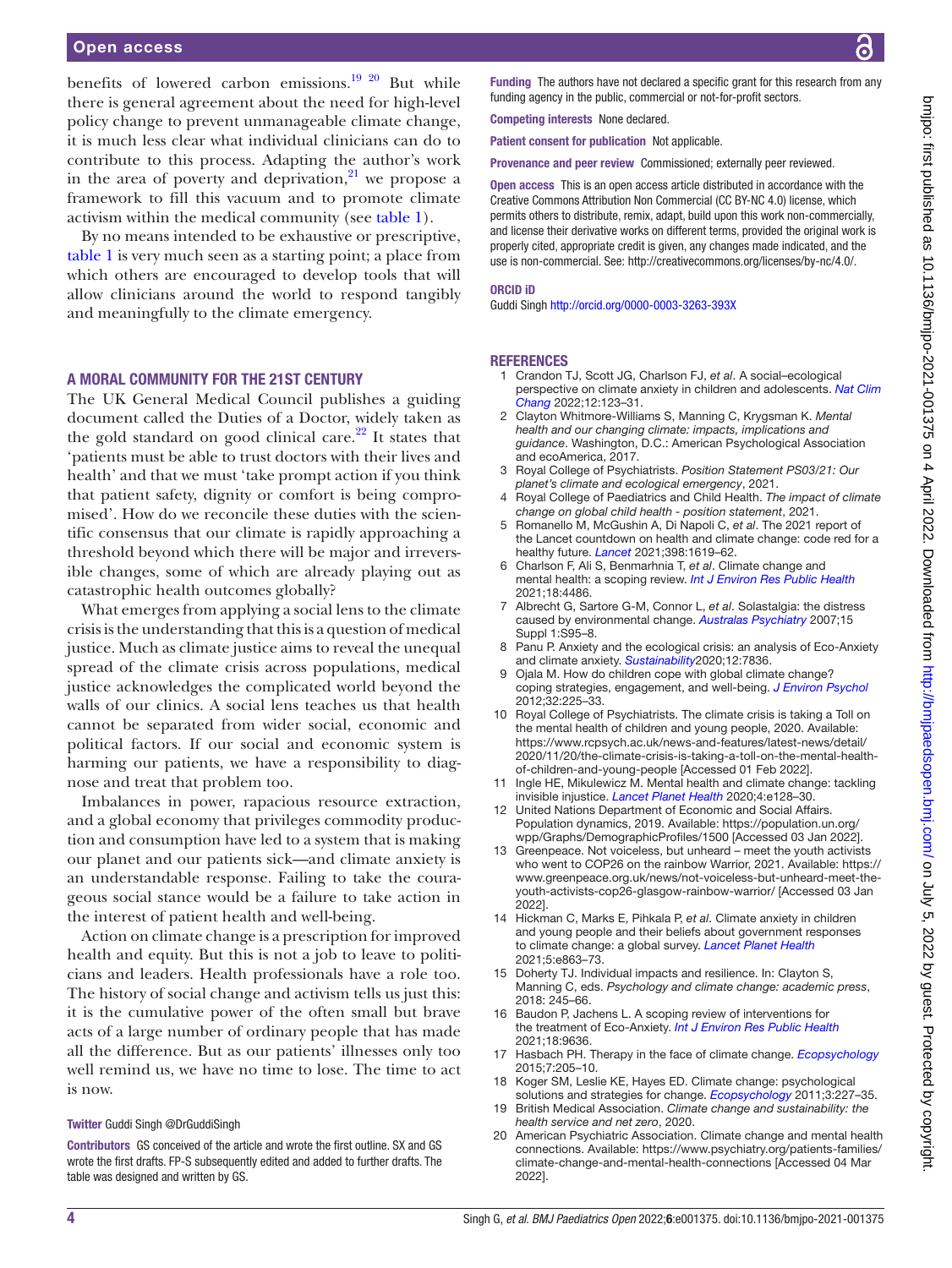benefits of lowered carbon emissions.<sup>19 20</sup> But while there is general agreement about the need for high-level policy change to prevent unmanageable climate change, it is much less clear what individual clinicians can do to contribute to this process. Adapting the author's work in the area of poverty and deprivation, $21$  we propose a framework to fill this vacuum and to promote climate activism within the medical community (see [table](#page-2-0) 1).

By no means intended to be exhaustive or prescriptive, [table](#page-2-0) 1 is very much seen as a starting point; a place from which others are encouraged to develop tools that will allow clinicians around the world to respond tangibly and meaningfully to the climate emergency.

#### A MORAL COMMUNITY FOR THE 21ST CENTURY

The UK General Medical Council publishes a guiding document called the Duties of a Doctor, widely taken as the gold standard on good clinical care. $22$  It states that 'patients must be able to trust doctors with their lives and health' and that we must 'take prompt action if you think that patient safety, dignity or comfort is being compromised'. How do we reconcile these duties with the scientific consensus that our climate is rapidly approaching a threshold beyond which there will be major and irreversible changes, some of which are already playing out as catastrophic health outcomes globally?

What emerges from applying a social lens to the climate crisis is the understanding that this is a question of medical justice. Much as climate justice aims to reveal the unequal spread of the climate crisis across populations, medical justice acknowledges the complicated world beyond the walls of our clinics. A social lens teaches us that health cannot be separated from wider social, economic and political factors. If our social and economic system is harming our patients, we have a responsibility to diagnose and treat that problem too.

Imbalances in power, rapacious resource extraction, and a global economy that privileges commodity production and consumption have led to a system that is making our planet and our patients sick—and climate anxiety is an understandable response. Failing to take the courageous social stance would be a failure to take action in the interest of patient health and well-being.

Action on climate change is a prescription for improved health and equity. But this is not a job to leave to politicians and leaders. Health professionals have a role too. The history of social change and activism tells us just this: it is the cumulative power of the often small but brave acts of a large number of ordinary people that has made all the difference. But as our patients' illnesses only too well remind us, we have no time to lose. The time to act is now.

#### Twitter Guddi Singh [@DrGuddiSingh](https://twitter.com/DrGuddiSingh)

Contributors GS conceived of the article and wrote the first outline. SX and GS wrote the first drafts. FP-S subsequently edited and added to further drafts. The table was designed and written by GS.

Funding The authors have not declared a specific grant for this research from any funding agency in the public, commercial or not-for-profit sectors.

Competing interests None declared.

Patient consent for publication Not applicable.

Provenance and peer review Commissioned; externally peer reviewed.

Open access This is an open access article distributed in accordance with the Creative Commons Attribution Non Commercial (CC BY-NC 4.0) license, which permits others to distribute, remix, adapt, build upon this work non-commercially, and license their derivative works on different terms, provided the original work is properly cited, appropriate credit is given, any changes made indicated, and the use is non-commercial. See:<http://creativecommons.org/licenses/by-nc/4.0/>.

#### ORCID iD

Guddi Singh <http://orcid.org/0000-0003-3263-393X>

#### **REFERENCES**

- <span id="page-3-4"></span>1 Crandon TJ, Scott JG, Charlson FJ, *et al*. A social–ecological perspective on climate anxiety in children and adolescents. *[Nat Clim](http://dx.doi.org/10.1038/s41558-021-01251-y)  [Chang](http://dx.doi.org/10.1038/s41558-021-01251-y)* 2022;12:123–31.
- <span id="page-3-0"></span>2 Clayton Whitmore-Williams S, Manning C, Krygsman K. *Mental health and our changing climate: impacts, implications and guidance*. Washington, D.C.: American Psychological Association and ecoAmerica, 2017.
- <span id="page-3-6"></span>3 Royal College of Psychiatrists. *Position Statement PS03/21: Our planet's climate and ecological emergency*, 2021.
- 4 Royal College of Paediatrics and Child Health. *The impact of climate change on global child health - position statement*, 2021.
- <span id="page-3-1"></span>5 Romanello M, McGushin A, Di Napoli C, *et al*. The 2021 report of the Lancet countdown on health and climate change: code red for a healthy future. *[Lancet](http://dx.doi.org/10.1016/S0140-6736(21)01787-6)* 2021;398:1619–62.
- <span id="page-3-2"></span>6 Charlson F, Ali S, Benmarhnia T, *et al*. Climate change and mental health: a scoping review. *[Int J Environ Res Public Health](http://dx.doi.org/10.3390/ijerph18094486)* 2021;18:4486.
- <span id="page-3-3"></span>7 Albrecht G, Sartore G-M, Connor L, *et al*. Solastalgia: the distress caused by environmental change. *[Australas Psychiatry](http://dx.doi.org/10.1080/10398560701701288)* 2007;15 Suppl 1:S95–8.
- 8 Panu P. Anxiety and the ecological crisis: an analysis of Eco-Anxiety and climate anxiety. *[Sustainability](http://dx.doi.org/10.3390/su12197836)*2020;12:7836.
- Ojala M. How do children cope with global climate change? coping strategies, engagement, and well-being. *[J Environ Psychol](http://dx.doi.org/10.1016/j.jenvp.2012.02.004)* 2012;32:225–33.
- <span id="page-3-5"></span>10 Royal College of Psychiatrists. The climate crisis is taking a Toll on the mental health of children and young people, 2020. Available: [https://www.rcpsych.ac.uk/news-and-features/latest-news/detail/](https://www.rcpsych.ac.uk/news-and-features/latest-news/detail/2020/11/20/the-climate-crisis-is-taking-a-toll-on-the-mental-health-of-children-and-young-people) [2020/11/20/the-climate-crisis-is-taking-a-toll-on-the-mental-health](https://www.rcpsych.ac.uk/news-and-features/latest-news/detail/2020/11/20/the-climate-crisis-is-taking-a-toll-on-the-mental-health-of-children-and-young-people)[of-children-and-young-people](https://www.rcpsych.ac.uk/news-and-features/latest-news/detail/2020/11/20/the-climate-crisis-is-taking-a-toll-on-the-mental-health-of-children-and-young-people) [Accessed 01 Feb 2022].
- 11 Ingle HE, Mikulewicz M. Mental health and climate change: tackling invisible injustice. *[Lancet Planet Health](http://dx.doi.org/10.1016/S2542-5196(20)30081-4)* 2020;4:e128–30.
- <span id="page-3-7"></span>12 United Nations Department of Economic and Social Affairs. Population dynamics, 2019. Available: [https://population.un.org/](https://population.un.org/wpp/Graphs/DemographicProfiles/1500) [wpp/Graphs/DemographicProfiles/1500](https://population.un.org/wpp/Graphs/DemographicProfiles/1500) [Accessed 03 Jan 2022].
- <span id="page-3-8"></span>13 Greenpeace. Not voiceless, but unheard – meet the youth activists who went to COP26 on the rainbow Warrior, 2021. Available: [https://](https://www.greenpeace.org.uk/news/not-voiceless-but-unheard-meet-the-youth-activists-cop26-glasgow-rainbow-warrior/) [www.greenpeace.org.uk/news/not-voiceless-but-unheard-meet-the](https://www.greenpeace.org.uk/news/not-voiceless-but-unheard-meet-the-youth-activists-cop26-glasgow-rainbow-warrior/)[youth-activists-cop26-glasgow-rainbow-warrior/](https://www.greenpeace.org.uk/news/not-voiceless-but-unheard-meet-the-youth-activists-cop26-glasgow-rainbow-warrior/) [Accessed 03 Jan 2022].
- <span id="page-3-9"></span>14 Hickman C, Marks E, Pihkala P, *et al*. Climate anxiety in children and young people and their beliefs about government responses to climate change: a global survey. *[Lancet Planet Health](http://dx.doi.org/10.1016/S2542-5196(21)00278-3)* 2021;5:e863–73.
- <span id="page-3-10"></span>15 Doherty TJ. Individual impacts and resilience. In: Clayton S, Manning C, eds. *Psychology and climate change: academic press*, 2018: 245–66.
- <span id="page-3-11"></span>16 Baudon P, Jachens L. A scoping review of interventions for the treatment of Eco-Anxiety. *[Int J Environ Res Public Health](http://dx.doi.org/10.3390/ijerph18189636)* 2021;18:9636.
- 17 Hasbach PH. Therapy in the face of climate change. *[Ecopsychology](http://dx.doi.org/10.1089/eco.2015.0018)* 2015;7:205–10.
- 18 Koger SM, Leslie KE, Hayes ED. Climate change: psychological solutions and strategies for change. *[Ecopsychology](http://dx.doi.org/10.1089/eco.2011.0041)* 2011;3:227–35.
- <span id="page-3-12"></span>19 British Medical Association. *Climate change and sustainability: the health service and net zero*, 2020.
- 20 American Psychiatric Association. Climate change and mental health connections. Available: [https://www.psychiatry.org/patients-families/](https://www.psychiatry.org/patients-families/climate-change-and-mental-health-connections) [climate-change-and-mental-health-connections](https://www.psychiatry.org/patients-families/climate-change-and-mental-health-connections) [Accessed 04 Mar 2022].